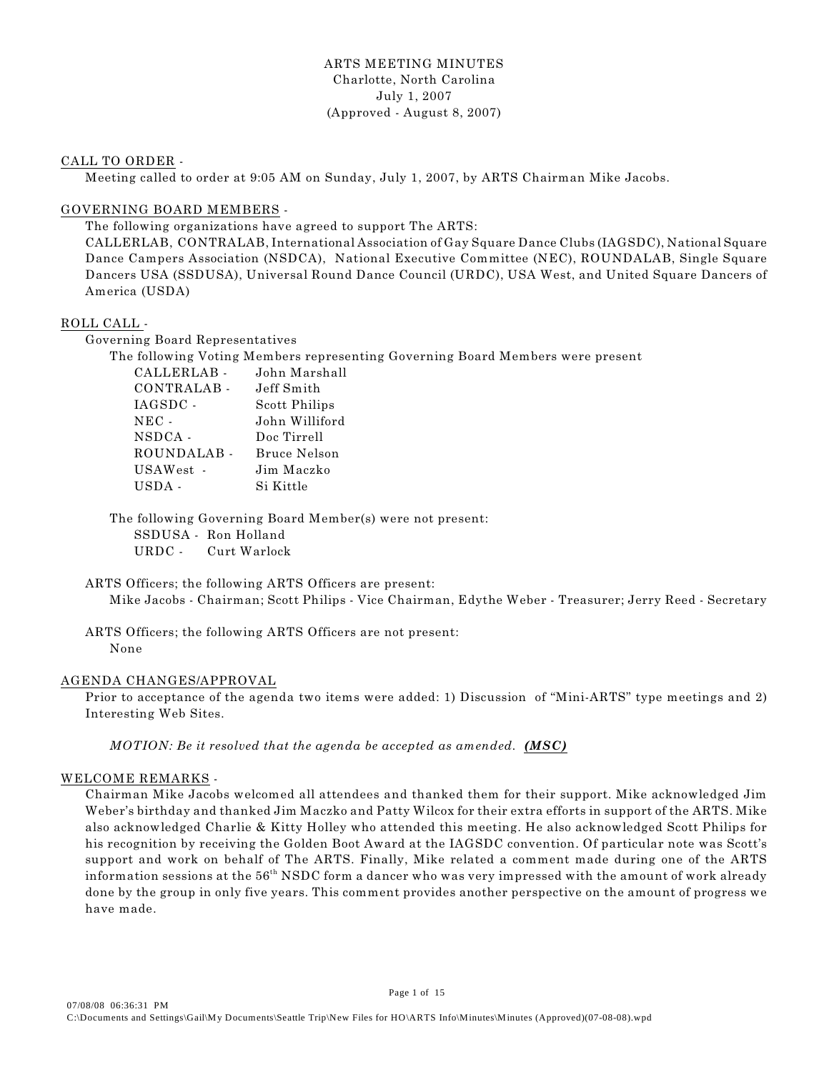# ARTS MEETING MINUTES Charlotte, North Carolina July 1, 2007 (Approved - August 8, 2007)

## CALL TO ORDER -

Meeting called to order at 9:05 AM on Sunday, July 1, 2007, by ARTS Chairman Mike Jacobs.

# GOVERNING BOARD MEMBERS -

The following organizations have agreed to support The ARTS:

CALLERLAB, CONTRALAB, International Association of Gay Square Dance Clubs (IAGSDC), National Square Dance Campers Association (NSDCA), National Executive Committee (NEC), ROUNDALAB, Single Square Dancers USA (SSDUSA), Universal Round Dance Council (URDC), USA West, and United Square Dancers of America (USDA)

# ROLL CALL -

Governing Board Representatives

The following Voting Members representing Governing Board Members were present

| CALLERLAB -     | John Marshall  |
|-----------------|----------------|
| CONTRALAB -     | Jeff Smith     |
| IAGSDC -        | Scott Philips  |
| $_{\rm{NEC}}$ . | John Williford |
| NSDCA -         | Doc Tirrell    |
| ROUNDALAB -     | Bruce Nelson   |
| USAWest -       | Jim Maczko     |
| USDA -          | Si Kittle      |
|                 |                |

The following Governing Board Member(s) were not present: SSDUSA - Ron Holland URDC - Curt Warlock

ARTS Officers; the following ARTS Officers are present: Mike Jacobs - Chairman; Scott Philips - Vice Chairman, Edythe Weber - Treasurer; Jerry Reed - Secretary

ARTS Officers; the following ARTS Officers are not present: None

# AGENDA CHANGES/APPROVAL

Prior to acceptance of the agenda two items were added: 1) Discussion of "Mini-ARTS" type meetings and 2) Interesting Web Sites.

*MOTION: Be it resolved that the agenda be accepted as amended. (MSC)* 

## WELCOME REMARKS -

Chairman Mike Jacobs welcomed all attendees and thanked them for their support. Mike acknowledged Jim Weber's birthday and thanked Jim Maczko and Patty Wilcox for their extra efforts in support of the ARTS. Mike also acknowledged Charlie & Kitty Holley who attended this meeting. He also acknowledged Scott Philips for his recognition by receiving the Golden Boot Award at the IAGSDC convention. Of particular note was Scott's support and work on behalf of The ARTS. Finally, Mike related a comment made during one of the ARTS information sessions at the  $56^{\text{th}}$  NSDC form a dancer who was very impressed with the amount of work already done by the group in only five years. This comment provides another perspective on the amount of progress we have made.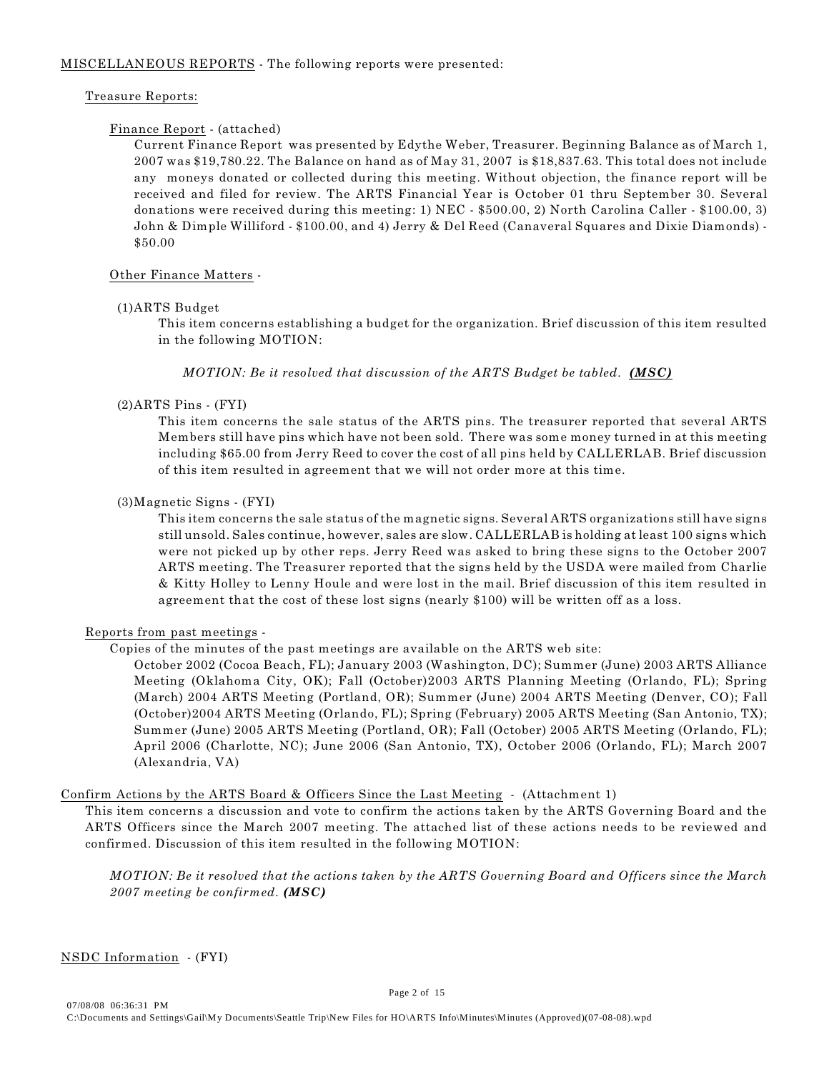## Treasure Reports:

## Finance Report - (attached)

Current Finance Report was presented by Edythe Weber, Treasurer. Beginning Balance as of March 1, 2007 was \$19,780.22. The Balance on hand as of May 31, 2007 is \$18,837.63. This total does not include any moneys donated or collected during this meeting. Without objection, the finance report will be received and filed for review. The ARTS Financial Year is October 01 thru September 30. Several donations were received during this meeting: 1) NEC - \$500.00, 2) North Carolina Caller - \$100.00, 3) John & Dimple Williford - \$100.00, and 4) Jerry & Del Reed (Canaveral Squares and Dixie Diamonds) - \$50.00

## Other Finance Matters -

## (1)ARTS Budget

This item concerns establishing a budget for the organization. Brief discussion of this item resulted in the following MOTION:

*MOTION: Be it resolved that discussion of the ARTS Budget be tabled. (MSC)* 

## (2)ARTS Pins - (FYI)

This item concerns the sale status of the ARTS pins. The treasurer reported that several ARTS Members still have pins which have not been sold. There was some money turned in at this meeting including \$65.00 from Jerry Reed to cover the cost of all pins held by CALLERLAB. Brief discussion of this item resulted in agreement that we will not order more at this time.

# (3)Magnetic Signs - (FYI)

This item concerns the sale status of the magnetic signs. Several ARTS organizations still have signs still unsold. Sales continue, however, sales are slow. CALLERLAB is holding at least 100 signs which were not picked up by other reps. Jerry Reed was asked to bring these signs to the October 2007 ARTS meeting. The Treasurer reported that the signs held by the USDA were mailed from Charlie & Kitty Holley to Lenny Houle and were lost in the mail. Brief discussion of this item resulted in agreement that the cost of these lost signs (nearly \$100) will be written off as a loss.

# Reports from past meetings -

# Copies of the minutes of the past meetings are available on the ARTS web site:

October 2002 (Cocoa Beach, FL); January 2003 (Washington, DC); Summer (June) 2003 ARTS Alliance Meeting (Oklahoma City, OK); Fall (October)2003 ARTS Planning Meeting (Orlando, FL); Spring (March) 2004 ARTS Meeting (Portland, OR); Summer (June) 2004 ARTS Meeting (Denver, CO); Fall (October)2004 ARTS Meeting (Orlando, FL); Spring (February) 2005 ARTS Meeting (San Antonio, TX); Summer (June) 2005 ARTS Meeting (Portland, OR); Fall (October) 2005 ARTS Meeting (Orlando, FL); April 2006 (Charlotte, NC); June 2006 (San Antonio, TX), October 2006 (Orlando, FL); March 2007 (Alexandria, VA)

## Confirm Actions by the ARTS Board & Officers Since the Last Meeting - (Attachment 1)

This item concerns a discussion and vote to confirm the actions taken by the ARTS Governing Board and the ARTS Officers since the March 2007 meeting. The attached list of these actions needs to be reviewed and confirmed. Discussion of this item resulted in the following MOTION:

*MOTION: Be it resolved that the actions taken by the ARTS Governing Board and Officers since the March 2007 meeting be confirmed. (MSC)*

NSDC Information - (FYI)

07/08/08 06:36:31 PM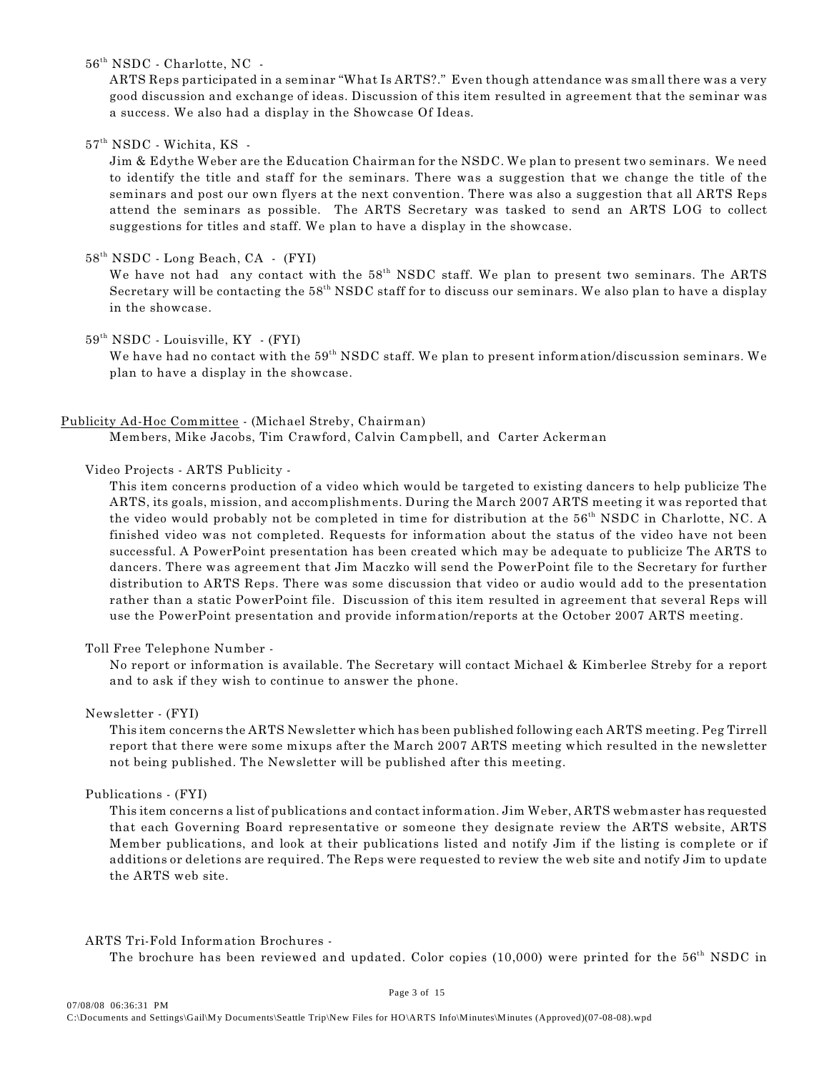$56<sup>th</sup> NSDC$  - Charlotte, NC -

ARTS Reps participated in a seminar "What Is ARTS?." Even though attendance was small there was a very good discussion and exchange of ideas. Discussion of this item resulted in agreement that the seminar was a success. We also had a display in the Showcase Of Ideas.

 $57^{\text{th}}$  NSDC - Wichita, KS -

Jim & Edythe Weber are the Education Chairman for the NSDC. We plan to present two seminars. We need to identify the title and staff for the seminars. There was a suggestion that we change the title of the seminars and post our own flyers at the next convention. There was also a suggestion that all ARTS Reps attend the seminars as possible. The ARTS Secretary was tasked to send an ARTS LOG to collect suggestions for titles and staff. We plan to have a display in the showcase.

## $58<sup>th</sup> NSDC$  - Long Beach, CA - (FYI)

We have not had any contact with the  $58<sup>th</sup>$  NSDC staff. We plan to present two seminars. The ARTS Secretary will be contacting the 58<sup>th</sup> NSDC staff for to discuss our seminars. We also plan to have a display in the showcase.

## $59<sup>th</sup> NSDC$  - Louisville,  $KY$  - (FYI)

We have had no contact with the  $59<sup>th</sup> NSDC$  staff. We plan to present information/discussion seminars. We plan to have a display in the showcase.

#### Publicity Ad-Hoc Committee - (Michael Streby, Chairman)

Members, Mike Jacobs, Tim Crawford, Calvin Campbell, and Carter Ackerman

## Video Projects - ARTS Publicity -

This item concerns production of a video which would be targeted to existing dancers to help publicize The ARTS, its goals, mission, and accomplishments. During the March 2007 ARTS meeting it was reported that the video would probably not be completed in time for distribution at the  $56<sup>th</sup>$  NSDC in Charlotte, NC. A finished video was not completed. Requests for information about the status of the video have not been successful. A PowerPoint presentation has been created which may be adequate to publicize The ARTS to dancers. There was agreement that Jim Maczko will send the PowerPoint file to the Secretary for further distribution to ARTS Reps. There was some discussion that video or audio would add to the presentation rather than a static PowerPoint file. Discussion of this item resulted in agreement that several Reps will use the PowerPoint presentation and provide information/reports at the October 2007 ARTS meeting.

#### Toll Free Telephone Number -

No report or information is available. The Secretary will contact Michael & Kimberlee Streby for a report and to ask if they wish to continue to answer the phone.

#### Newsletter - (FYI)

This item concerns the ARTS Newsletter which has been published following each ARTS meeting. Peg Tirrell report that there were some mixups after the March 2007 ARTS meeting which resulted in the newsletter not being published. The Newsletter will be published after this meeting.

## Publications - (FYI)

This item concerns a list of publications and contact information. Jim Weber, ARTS webmaster has requested that each Governing Board representative or someone they designate review the ARTS website, ARTS Member publications, and look at their publications listed and notify Jim if the listing is complete or if additions or deletions are required. The Reps were requested to review the web site and notify Jim to update the ARTS web site.

#### ARTS Tri-Fold Information Brochures -

The brochure has been reviewed and updated. Color copies  $(10,000)$  were printed for the 56<sup>th</sup> NSDC in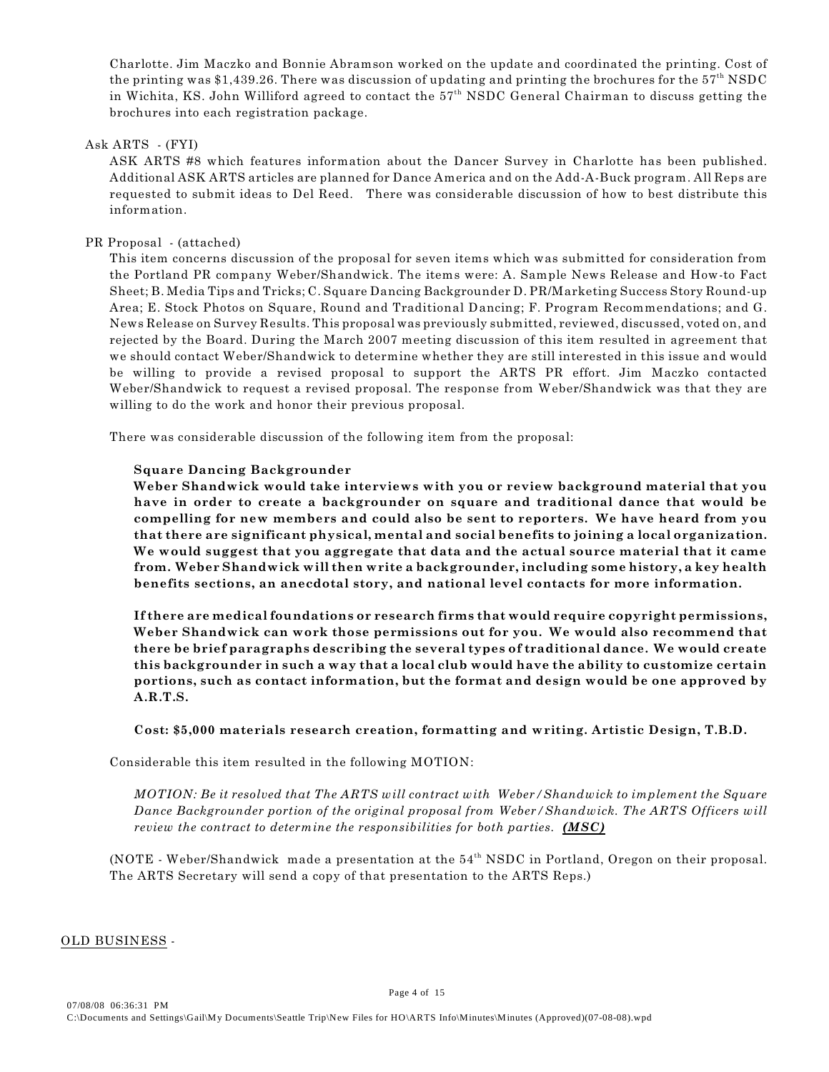Charlotte. Jim Maczko and Bonnie Abramson worked on the update and coordinated the printing. Cost of the printing was \$1,439.26. There was discussion of updating and printing the brochures for the  $57<sup>th</sup>$  NSDC in Wichita, KS. John Williford agreed to contact the  $57<sup>th</sup>$  NSDC General Chairman to discuss getting the brochures into each registration package.

## Ask ARTS - (FYI)

ASK ARTS #8 which features information about the Dancer Survey in Charlotte has been published. Additional ASK ARTS articles are planned for Dance America and on the Add-A-Buck program. All Reps are requested to submit ideas to Del Reed. There was considerable discussion of how to best distribute this information.

## PR Proposal - (attached)

This item concerns discussion of the proposal for seven items which was submitted for consideration from the Portland PR company Weber/Shandwick. The items were: A. Sample News Release and How-to Fact Sheet; B. Media Tips and Tricks; C. Square Dancing Backgrounder D. PR/Marketing Success Story Round-up Area; E. Stock Photos on Square, Round and Traditional Dancing; F. Program Recommendations; and G. News Release on Survey Results. This proposal was previously submitted, reviewed, discussed, voted on, and rejected by the Board. During the March 2007 meeting discussion of this item resulted in agreement that we should contact Weber/Shandwick to determine whether they are still interested in this issue and would be willing to provide a revised proposal to support the ARTS PR effort. Jim Maczko contacted Weber/Shandwick to request a revised proposal. The response from Weber/Shandwick was that they are willing to do the work and honor their previous proposal.

There was considerable discussion of the following item from the proposal:

## **Square Dancing Backgrounder**

**Weber Shandwick would take interviews with you or review background material that you have in order to create a backgrounder on square and traditional dance that would be compelling for new members and could also be sent to reporters. We have heard from you that there are significant physical, mental and social benefits to joining a local organization. We would suggest that you aggregate that data and the actual source material that it came from. Weber Shandwick will then write a backgrounder, including some history, a key health benefits sections, an anecdotal story, and national level contacts for more information.** 

**If there are medical foundations or research firms that would require copyright permissions, Weber Shandwick can work those permissions out for you. We would also recommend that there be brief paragraphs describing the several types of traditional dance. We would create this backgrounder in such a way that a local club would have the ability to customize certain portions, such as contact information, but the format and design would be one approved by A.R.T.S.**

## **Cost: \$5,000 materials research creation, formatting and writing. Artistic Design, T.B.D.**

Considerable this item resulted in the following MOTION:

*MOTION: Be it resolved that The ARTS will contract with Weber/Shandwick to implement the Square Dance Backgrounder portion of the original proposal from Weber/Shandwick. The ARTS Officers will review the contract to determine the responsibilities for both parties. (MSC)* 

(NOTE - Weber/Shandwick made a presentation at the  $54<sup>th</sup>$  NSDC in Portland, Oregon on their proposal. The ARTS Secretary will send a copy of that presentation to the ARTS Reps.)

## OLD BUSINESS -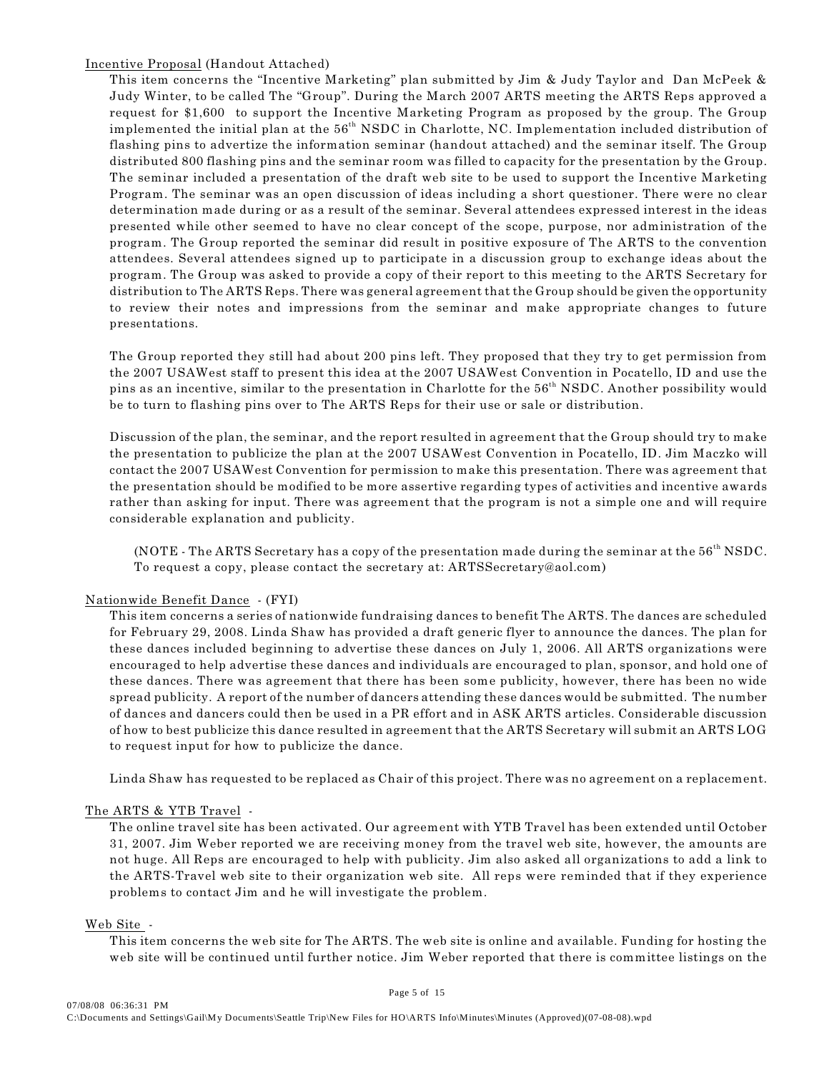Incentive Proposal (Handout Attached)

This item concerns the "Incentive Marketing" plan submitted by Jim & Judy Taylor and Dan McPeek & Judy Winter, to be called The "Group". During the March 2007 ARTS meeting the ARTS Reps approved a request for \$1,600 to support the Incentive Marketing Program as proposed by the group. The Group implemented the initial plan at the 56<sup>th</sup> NSDC in Charlotte, NC. Implementation included distribution of flashing pins to advertize the information seminar (handout attached) and the seminar itself. The Group distributed 800 flashing pins and the seminar room was filled to capacity for the presentation by the Group. The seminar included a presentation of the draft web site to be used to support the Incentive Marketing Program. The seminar was an open discussion of ideas including a short questioner. There were no clear determination made during or as a result of the seminar. Several attendees expressed interest in the ideas presented while other seemed to have no clear concept of the scope, purpose, nor administration of the program. The Group reported the seminar did result in positive exposure of The ARTS to the convention attendees. Several attendees signed up to participate in a discussion group to exchange ideas about the program. The Group was asked to provide a copy of their report to this meeting to the ARTS Secretary for distribution to The ARTS Reps. There was general agreement that the Group should be given the opportunity to review their notes and impressions from the seminar and make appropriate changes to future presentations.

The Group reported they still had about 200 pins left. They proposed that they try to get permission from the 2007 USAWest staff to present this idea at the 2007 USAWest Convention in Pocatello, ID and use the pins as an incentive, similar to the presentation in Charlotte for the 56<sup>th</sup> NSDC. Another possibility would be to turn to flashing pins over to The ARTS Reps for their use or sale or distribution.

Discussion of the plan, the seminar, and the report resulted in agreement that the Group should try to make the presentation to publicize the plan at the 2007 USAWest Convention in Pocatello, ID. Jim Maczko will contact the 2007 USAWest Convention for permission to make this presentation. There was agreement that the presentation should be modified to be more assertive regarding types of activities and incentive awards rather than asking for input. There was agreement that the program is not a simple one and will require considerable explanation and publicity.

(NOTE - The ARTS Secretary has a copy of the presentation made during the seminar at the  $56<sup>th</sup>$  NSDC. To request a copy, please contact the secretary at: ARTSSecretary@aol.com)

## Nationwide Benefit Dance - (FYI)

This item concerns a series of nationwide fundraising dances to benefit The ARTS. The dances are scheduled for February 29, 2008. Linda Shaw has provided a draft generic flyer to announce the dances. The plan for these dances included beginning to advertise these dances on July 1, 2006. All ARTS organizations were encouraged to help advertise these dances and individuals are encouraged to plan, sponsor, and hold one of these dances. There was agreement that there has been some publicity, however, there has been no wide spread publicity. A report of the number of dancers attending these dances would be submitted. The number of dances and dancers could then be used in a PR effort and in ASK ARTS articles. Considerable discussion of how to best publicize this dance resulted in agreement that the ARTS Secretary will submit an ARTS LOG to request input for how to publicize the dance.

Linda Shaw has requested to be replaced as Chair of this project. There was no agreement on a replacement.

## The ARTS & YTB Travel -

The online travel site has been activated. Our agreement with YTB Travel has been extended until October 31, 2007. Jim Weber reported we are receiving money from the travel web site, however, the amounts are not huge. All Reps are encouraged to help with publicity. Jim also asked all organizations to add a link to the ARTS-Travel web site to their organization web site. All reps were reminded that if they experience problems to contact Jim and he will investigate the problem.

## Web Site -

This item concerns the web site for The ARTS. The web site is online and available. Funding for hosting the web site will be continued until further notice. Jim Weber reported that there is committee listings on the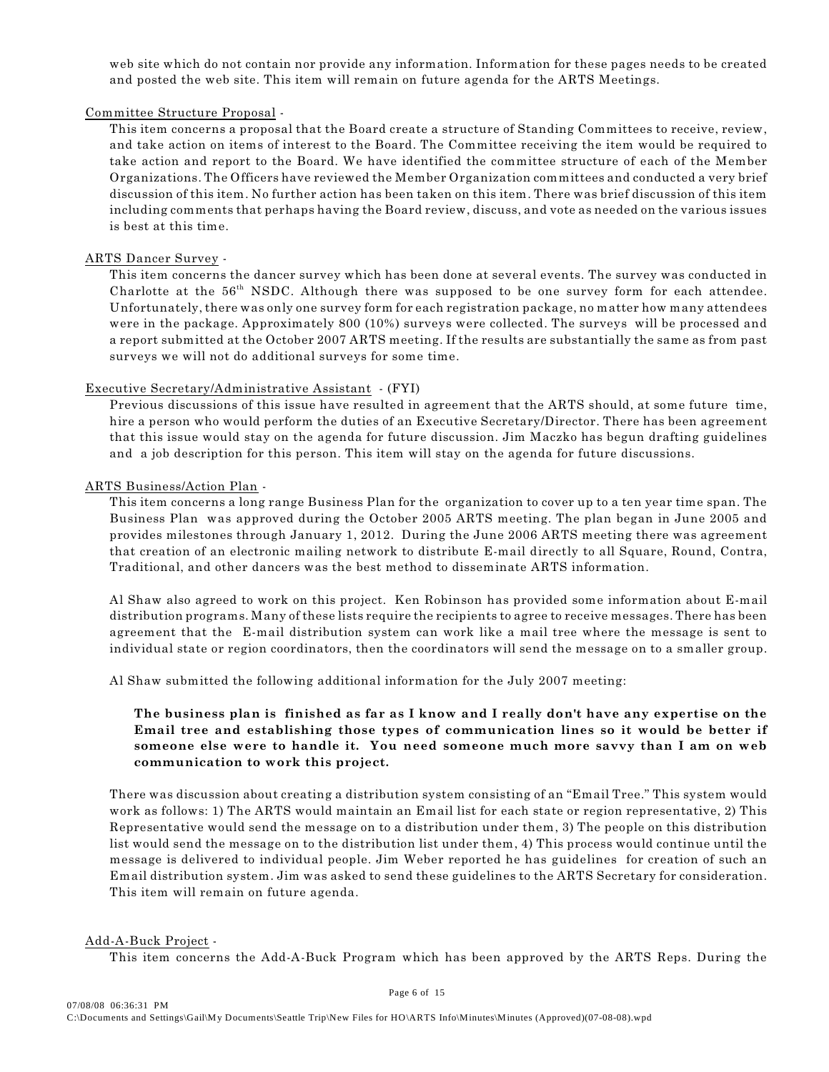web site which do not contain nor provide any information. Information for these pages needs to be created and posted the web site. This item will remain on future agenda for the ARTS Meetings.

## Committee Structure Proposal -

This item concerns a proposal that the Board create a structure of Standing Committees to receive, review, and take action on items of interest to the Board. The Committee receiving the item would be required to take action and report to the Board. We have identified the committee structure of each of the Member Organizations. The Officers have reviewed the Member Organization committees and conducted a very brief discussion of this item. No further action has been taken on this item. There was brief discussion of this item including comments that perhaps having the Board review, discuss, and vote as needed on the various issues is best at this time.

## ARTS Dancer Survey -

This item concerns the dancer survey which has been done at several events. The survey was conducted in Charlotte at the  $56<sup>th</sup>$  NSDC. Although there was supposed to be one survey form for each attendee. Unfortunately, there was only one survey form for each registration package, no matter how many attendees were in the package. Approximately 800 (10%) surveys were collected. The surveys will be processed and a report submitted at the October 2007 ARTS meeting. If the results are substantially the same as from past surveys we will not do additional surveys for some time.

## Executive Secretary/Administrative Assistant - (FYI)

Previous discussions of this issue have resulted in agreement that the ARTS should, at some future time, hire a person who would perform the duties of an Executive Secretary/Director. There has been agreement that this issue would stay on the agenda for future discussion. Jim Maczko has begun drafting guidelines and a job description for this person. This item will stay on the agenda for future discussions.

## ARTS Business/Action Plan -

This item concerns a long range Business Plan for the organization to cover up to a ten year time span. The Business Plan was approved during the October 2005 ARTS meeting. The plan began in June 2005 and provides milestones through January 1, 2012. During the June 2006 ARTS meeting there was agreement that creation of an electronic mailing network to distribute E-mail directly to all Square, Round, Contra, Traditional, and other dancers was the best method to disseminate ARTS information.

Al Shaw also agreed to work on this project. Ken Robinson has provided some information about E-mail distribution programs. Many of these lists require the recipients to agree to receive messages. There has been agreement that the E-mail distribution system can work like a mail tree where the message is sent to individual state or region coordinators, then the coordinators will send the message on to a smaller group.

Al Shaw submitted the following additional information for the July 2007 meeting:

# **The business plan is finished as far as I know and I really don't have any expertise on the Email tree and establishing those types of communication lines so it would be better if someone else were to handle it. You need someone much more savvy than I am on web communication to work this project.**

There was discussion about creating a distribution system consisting of an "Email Tree." This system would work as follows: 1) The ARTS would maintain an Email list for each state or region representative, 2) This Representative would send the message on to a distribution under them, 3) The people on this distribution list would send the message on to the distribution list under them, 4) This process would continue until the message is delivered to individual people. Jim Weber reported he has guidelines for creation of such an Email distribution system. Jim was asked to send these guidelines to the ARTS Secretary for consideration. This item will remain on future agenda.

#### Add-A-Buck Project -

This item concerns the Add-A-Buck Program which has been approved by the ARTS Reps. During the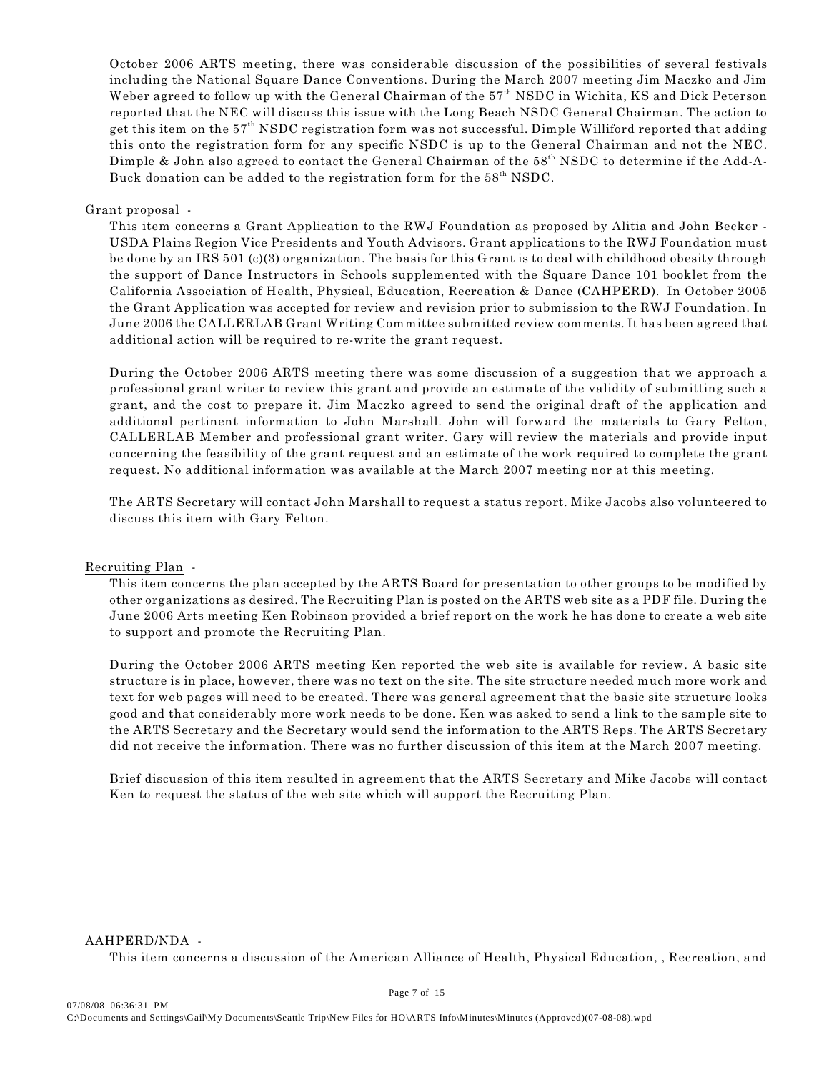October 2006 ARTS meeting, there was considerable discussion of the possibilities of several festivals including the National Square Dance Conventions. During the March 2007 meeting Jim Maczko and Jim Weber agreed to follow up with the General Chairman of the 57<sup>th</sup> NSDC in Wichita, KS and Dick Peterson reported that the NEC will discuss this issue with the Long Beach NSDC General Chairman. The action to get this item on the 57th NSDC registration form was not successful. Dimple Williford reported that adding this onto the registration form for any specific NSDC is up to the General Chairman and not the NEC. Dimple & John also agreed to contact the General Chairman of the 58<sup>th</sup> NSDC to determine if the Add-A-Buck donation can be added to the registration form for the  $58<sup>th</sup>$  NSDC.

#### Grant proposal -

This item concerns a Grant Application to the RWJ Foundation as proposed by Alitia and John Becker - USDA Plains Region Vice Presidents and Youth Advisors. Grant applications to the RWJ Foundation must be done by an IRS 501 (c)(3) organization. The basis for this Grant is to deal with childhood obesity through the support of Dance Instructors in Schools supplemented with the Square Dance 101 booklet from the California Association of Health, Physical, Education, Recreation & Dance (CAHPERD). In October 2005 the Grant Application was accepted for review and revision prior to submission to the RWJ Foundation. In June 2006 the CALLERLAB Grant Writing Committee submitted review comments. It has been agreed that additional action will be required to re-write the grant request.

During the October 2006 ARTS meeting there was some discussion of a suggestion that we approach a professional grant writer to review this grant and provide an estimate of the validity of submitting such a grant, and the cost to prepare it. Jim Maczko agreed to send the original draft of the application and additional pertinent information to John Marshall. John will forward the materials to Gary Felton, CALLERLAB Member and professional grant writer. Gary will review the materials and provide input concerning the feasibility of the grant request and an estimate of the work required to complete the grant request. No additional information was available at the March 2007 meeting nor at this meeting.

The ARTS Secretary will contact John Marshall to request a status report. Mike Jacobs also volunteered to discuss this item with Gary Felton.

#### Recruiting Plan -

This item concerns the plan accepted by the ARTS Board for presentation to other groups to be modified by other organizations as desired. The Recruiting Plan is posted on the ARTS web site as a PDF file. During the June 2006 Arts meeting Ken Robinson provided a brief report on the work he has done to create a web site to support and promote the Recruiting Plan.

During the October 2006 ARTS meeting Ken reported the web site is available for review. A basic site structure is in place, however, there was no text on the site. The site structure needed much more work and text for web pages will need to be created. There was general agreement that the basic site structure looks good and that considerably more work needs to be done. Ken was asked to send a link to the sample site to the ARTS Secretary and the Secretary would send the information to the ARTS Reps. The ARTS Secretary did not receive the information. There was no further discussion of this item at the March 2007 meeting.

Brief discussion of this item resulted in agreement that the ARTS Secretary and Mike Jacobs will contact Ken to request the status of the web site which will support the Recruiting Plan.

#### AAHPERD/NDA -

This item concerns a discussion of the American Alliance of Health, Physical Education, , Recreation, and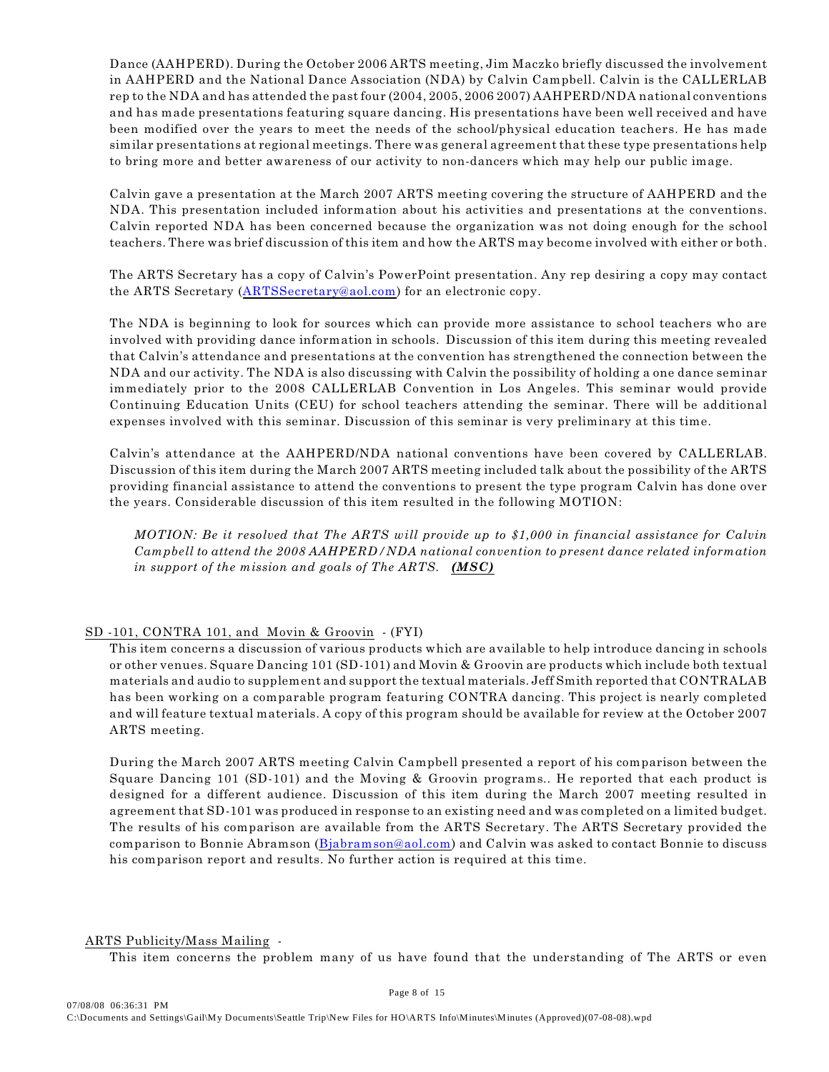Dance (AAHPERD). During the October 2006 ARTS meeting, Jim Maczko briefly discussed the involvement in AAHPERD and the National Dance Association (NDA) by Calvin Campbell. Calvin is the CALLERLAB rep to the NDA and has attended the past four (2004, 2005, 2006 2007) AAHPERD/NDA national conventions and has made presentations featuring square dancing. His presentations have been well received and have been modified over the years to meet the needs of the school/physical education teachers. He has made similar presentations at regional meetings. There was general agreement that these type presentations help to bring more and better awareness of our activity to non-dancers which may help our public image.

Calvin gave a presentation at the March 2007 ARTS meeting covering the structure of AAHPERD and the NDA. This presentation included information about his activities and presentations at the conventions. Calvin reported NDA has been concerned because the organization was not doing enough for the school teachers. There was brief discussion of this item and how the ARTS may become involved with either or both.

The ARTS Secretary has a copy of Calvin's PowerPoint presentation. Any rep desiring a copy may contact the ARTS Secretary ([ARTSSecretary@aol.com](mailto:ARTSSecretary@aol.com)) for an electronic copy.

The NDA is beginning to look for sources which can provide more assistance to school teachers who are involved with providing dance information in schools. Discussion of this item during this meeting revealed that Calvin's attendance and presentations at the convention has strengthened the connection between the NDA and our activity. The NDA is also discussing with Calvin the possibility of holding a one dance seminar immediately prior to the 2008 CALLERLAB Convention in Los Angeles. This seminar would provide Continuing Education Units (CEU) for school teachers attending the seminar. There will be additional expenses involved with this seminar. Discussion of this seminar is very preliminary at this time.

Calvin's attendance at the AAHPERD/NDA national conventions have been covered by CALLERLAB. Discussion of this item during the March 2007 ARTS meeting included talk about the possibility of the ARTS providing financial assistance to attend the conventions to present the type program Calvin has done over the years. Considerable discussion of this item resulted in the following MOTION:

*MOTION: Be it resolved that The ARTS will provide up to \$1,000 in financial assistance for Calvin Campbell to attend the 2008 AAHPERD/NDA national convention to present dance related information in support of the mission and goals of The ARTS. (MSC)* 

# SD -101, CONTRA 101, and Movin & Groovin - (FYI)

This item concerns a discussion of various products which are available to help introduce dancing in schools or other venues. Square Dancing 101 (SD-101) and Movin & Groovin are products which include both textual materials and audio to supplement and support the textual materials. Jeff Smith reported that CONTRALAB has been working on a comparable program featuring CONTRA dancing. This project is nearly completed and will feature textual materials. A copy of this program should be available for review at the October 2007 ARTS meeting.

During the March 2007 ARTS meeting Calvin Campbell presented a report of his comparison between the Square Dancing 101 (SD-101) and the Moving & Groovin programs.. He reported that each product is designed for a different audience. Discussion of this item during the March 2007 meeting resulted in agreement that SD-101 was produced in response to an existing need and was completed on a limited budget. The results of his comparison are available from the ARTS Secretary. The ARTS Secretary provided the comparison to Bonnie Abramson [\(Bjabramson@aol.com](mailto:Bjabramson@aol.com)) and Calvin was asked to contact Bonnie to discuss his comparison report and results. No further action is required at this time.

#### ARTS Publicity/Mass Mailing -

This item concerns the problem many of us have found that the understanding of The ARTS or even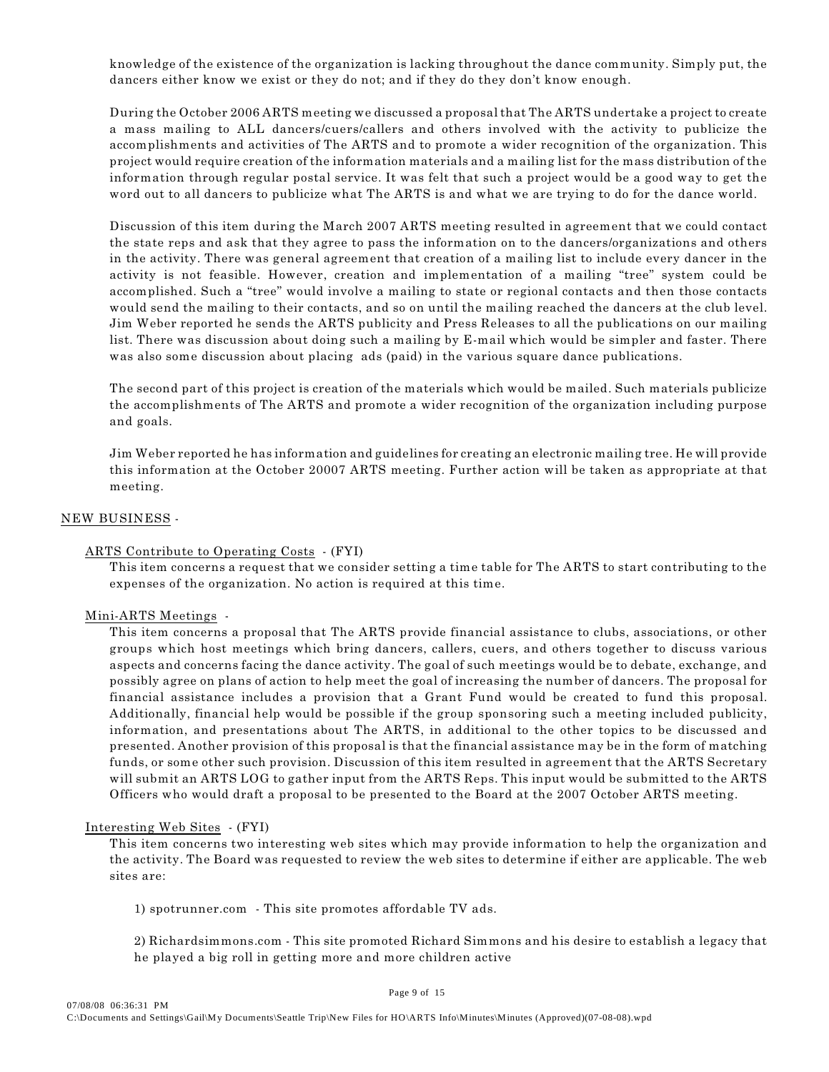knowledge of the existence of the organization is lacking throughout the dance community. Simply put, the dancers either know we exist or they do not; and if they do they don't know enough.

During the October 2006 ARTS meeting we discussed a proposal that The ARTS undertake a project to create a mass mailing to ALL dancers/cuers/callers and others involved with the activity to publicize the accomplishments and activities of The ARTS and to promote a wider recognition of the organization. This project would require creation of the information materials and a mailing list for the mass distribution of the information through regular postal service. It was felt that such a project would be a good way to get the word out to all dancers to publicize what The ARTS is and what we are trying to do for the dance world.

Discussion of this item during the March 2007 ARTS meeting resulted in agreement that we could contact the state reps and ask that they agree to pass the information on to the dancers/organizations and others in the activity. There was general agreement that creation of a mailing list to include every dancer in the activity is not feasible. However, creation and implementation of a mailing "tree" system could be accomplished. Such a "tree" would involve a mailing to state or regional contacts and then those contacts would send the mailing to their contacts, and so on until the mailing reached the dancers at the club level. Jim Weber reported he sends the ARTS publicity and Press Releases to all the publications on our mailing list. There was discussion about doing such a mailing by E-mail which would be simpler and faster. There was also some discussion about placing ads (paid) in the various square dance publications.

The second part of this project is creation of the materials which would be mailed. Such materials publicize the accomplishments of The ARTS and promote a wider recognition of the organization including purpose and goals.

Jim Weber reported he has information and guidelines for creating an electronic mailing tree. He will provide this information at the October 20007 ARTS meeting. Further action will be taken as appropriate at that meeting.

## NEW BUSINESS -

## ARTS Contribute to Operating Costs - (FYI)

This item concerns a request that we consider setting a time table for The ARTS to start contributing to the expenses of the organization. No action is required at this time.

#### Mini-ARTS Meetings -

This item concerns a proposal that The ARTS provide financial assistance to clubs, associations, or other groups which host meetings which bring dancers, callers, cuers, and others together to discuss various aspects and concerns facing the dance activity. The goal of such meetings would be to debate, exchange, and possibly agree on plans of action to help meet the goal of increasing the number of dancers. The proposal for financial assistance includes a provision that a Grant Fund would be created to fund this proposal. Additionally, financial help would be possible if the group sponsoring such a meeting included publicity, information, and presentations about The ARTS, in additional to the other topics to be discussed and presented. Another provision of this proposal is that the financial assistance may be in the form of matching funds, or some other such provision. Discussion of this item resulted in agreement that the ARTS Secretary will submit an ARTS LOG to gather input from the ARTS Reps. This input would be submitted to the ARTS Officers who would draft a proposal to be presented to the Board at the 2007 October ARTS meeting.

#### Interesting Web Sites - (FYI)

This item concerns two interesting web sites which may provide information to help the organization and the activity. The Board was requested to review the web sites to determine if either are applicable. The web sites are:

1) spotrunner.com - This site promotes affordable TV ads.

2) Richardsimmons.com - This site promoted Richard Simmons and his desire to establish a legacy that he played a big roll in getting more and more children active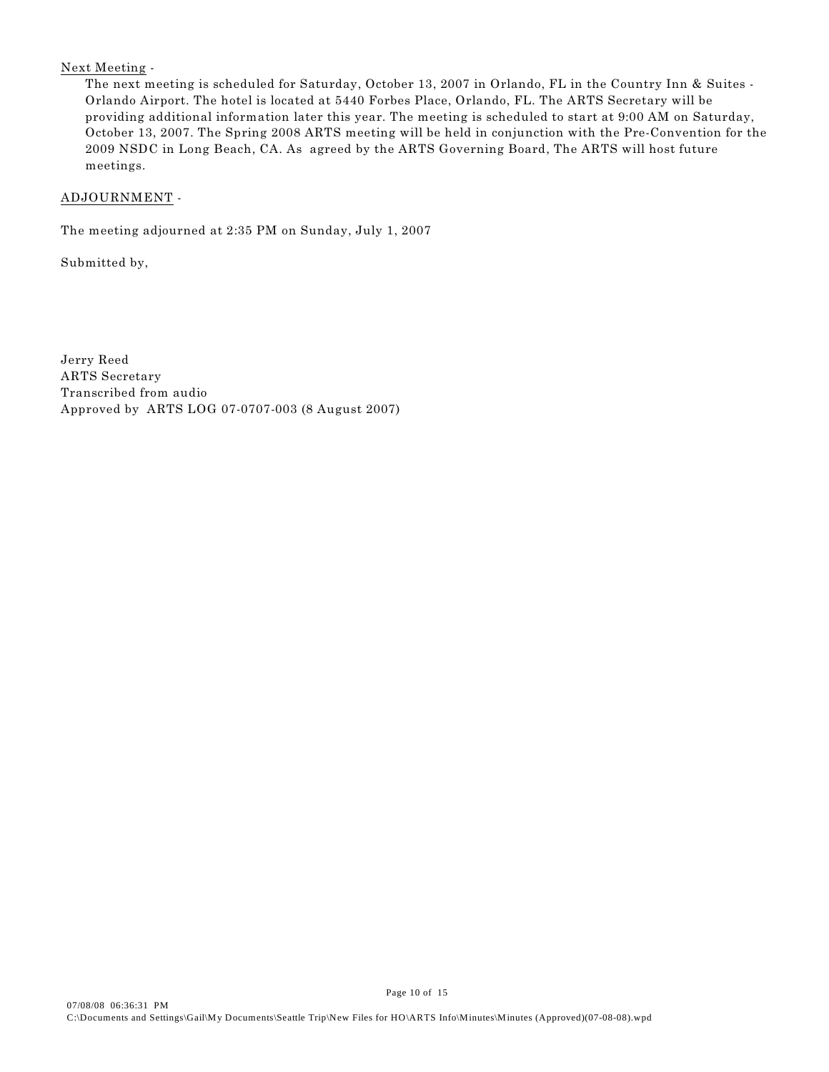# Next Meeting -

The next meeting is scheduled for Saturday, October 13, 2007 in Orlando, FL in the Country Inn & Suites - Orlando Airport. The hotel is located at 5440 Forbes Place, Orlando, FL. The ARTS Secretary will be providing additional information later this year. The meeting is scheduled to start at 9:00 AM on Saturday, October 13, 2007. The Spring 2008 ARTS meeting will be held in conjunction with the Pre-Convention for the 2009 NSDC in Long Beach, CA. As agreed by the ARTS Governing Board, The ARTS will host future meetings.

# ADJOURNMENT -

The meeting adjourned at 2:35 PM on Sunday, July 1, 2007

Submitted by,

Jerry Reed ARTS Secretary Transcribed from audio Approved by ARTS LOG 07-0707-003 (8 August 2007)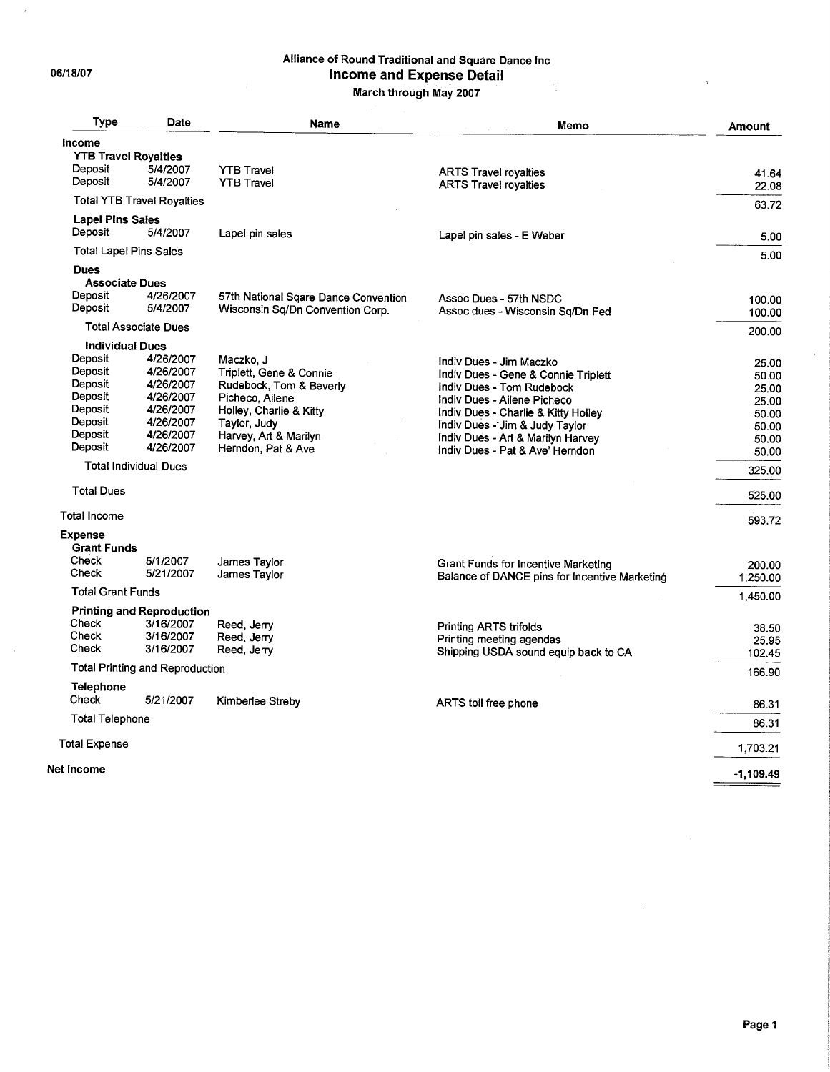06/18/07

 $\bar{\bar{z}}$ 

 $\bar{x}$ 

# Alliance of Round Traditional and Square Dance Inc Income and Expense Detail

March through May 2007

| <b>Type</b>                   | <b>Date</b>                            | Name                                 | Memo                                          | <b>Amount</b> |
|-------------------------------|----------------------------------------|--------------------------------------|-----------------------------------------------|---------------|
| Income                        |                                        |                                      |                                               |               |
| <b>YTB Travel Royalties</b>   |                                        |                                      |                                               |               |
| Deposit                       | 5/4/2007                               | <b>YTB Travel</b>                    | <b>ARTS Travel royalties</b>                  | 41.64         |
| Deposit                       | 5/4/2007                               | <b>YTB Travel</b>                    | <b>ARTS Travel royalties</b>                  | 22.08         |
|                               | <b>Total YTB Travel Royalties</b>      |                                      |                                               | 63.72         |
| <b>Lapel Pins Sales</b>       |                                        |                                      |                                               |               |
| Deposit                       | 5/4/2007                               | Lapel pin sales                      | Lapel pin sales - E Weber                     | 5.00          |
| <b>Total Lapel Pins Sales</b> |                                        |                                      |                                               | 5.00          |
| <b>Dues</b>                   |                                        |                                      |                                               |               |
| <b>Associate Dues</b>         |                                        |                                      |                                               |               |
| Deposit                       | 4/26/2007                              | 57th National Sqare Dance Convention | Assoc Dues - 57th NSDC                        | 100.00        |
| Deposit                       | 5/4/2007                               | Wisconsin Sq/Dn Convention Corp.     | Assoc dues - Wisconsin Sq/Dn Fed              | 100.00        |
| <b>Total Associate Dues</b>   |                                        |                                      |                                               | 200.00        |
| <b>Individual Dues</b>        |                                        |                                      |                                               |               |
| Deposit                       | 4/26/2007                              | Maczko, J                            | Indiv Dues - Jim Maczko                       | 25.00         |
| Deposit                       | 4/26/2007                              | Triplett, Gene & Connie              | Indiv Dues - Gene & Connie Triplett           |               |
| Deposit                       | 4/26/2007                              | Rudebock, Tom & Beverly              | Indiv Dues - Tom Rudebock                     | 50.00         |
| Deposit                       | 4/26/2007                              | Picheco, Ailene                      |                                               | 25.00         |
| Deposit                       | 4/26/2007                              | Holley, Charlie & Kitty              | Indiv Dues - Ailene Picheco                   | 25.00         |
| Deposit                       | 4/26/2007                              |                                      | Indiv Dues - Charlie & Kitty Holley           | 50.00         |
| Deposit                       | 4/26/2007                              | Taylor, Judy                         | Indiv Dues - Jim & Judy Taylor                | 50.00         |
| Deposit                       |                                        | Harvey, Art & Marilyn                | Indiv Dues - Art & Marilyn Harvey             | 50.00         |
|                               | 4/26/2007                              | Herndon, Pat & Ave                   | Indiv Dues - Pat & Ave' Herndon               | 50.00         |
| <b>Total Individual Dues</b>  |                                        |                                      |                                               | 325.00        |
| <b>Total Dues</b>             |                                        |                                      |                                               | 525.00        |
| <b>Total Income</b>           |                                        |                                      |                                               | 593.72        |
| <b>Expense</b>                |                                        |                                      |                                               |               |
| <b>Grant Funds</b>            |                                        |                                      |                                               |               |
| Check                         | 5/1/2007                               | James Taylor                         | Grant Funds for Incentive Marketing           | 200.00        |
| Check                         | 5/21/2007                              | James Taylor                         | Balance of DANCE pins for Incentive Marketing |               |
| <b>Total Grant Funds</b>      |                                        |                                      |                                               | 1,250.00      |
|                               | <b>Printing and Reproduction</b>       |                                      |                                               | 1,450.00      |
| Check                         | 3/16/2007                              | Reed, Jerry                          |                                               |               |
| Check                         | 3/16/2007                              | Reed, Jerry                          | <b>Printing ARTS trifolds</b>                 | 38.50         |
| Check                         | 3/16/2007                              |                                      | Printing meeting agendas                      | 25.95         |
|                               |                                        | Reed, Jerry                          | Shipping USDA sound equip back to CA          | 102.45        |
|                               | <b>Total Printing and Reproduction</b> |                                      |                                               | 166.90        |
| <b>Telephone</b><br>Check     | 5/21/2007                              |                                      |                                               |               |
|                               |                                        | Kimberlee Streby                     | ARTS toll free phone                          | 86.31         |
| <b>Total Telephone</b>        |                                        |                                      |                                               | 86.31         |
| <b>Total Expense</b>          |                                        |                                      |                                               | 1,703.21      |
| <b>Net Income</b>             |                                        |                                      |                                               | $-1,109.49$   |
|                               |                                        |                                      |                                               |               |

 $\mathcal{L}_{\text{eff}}$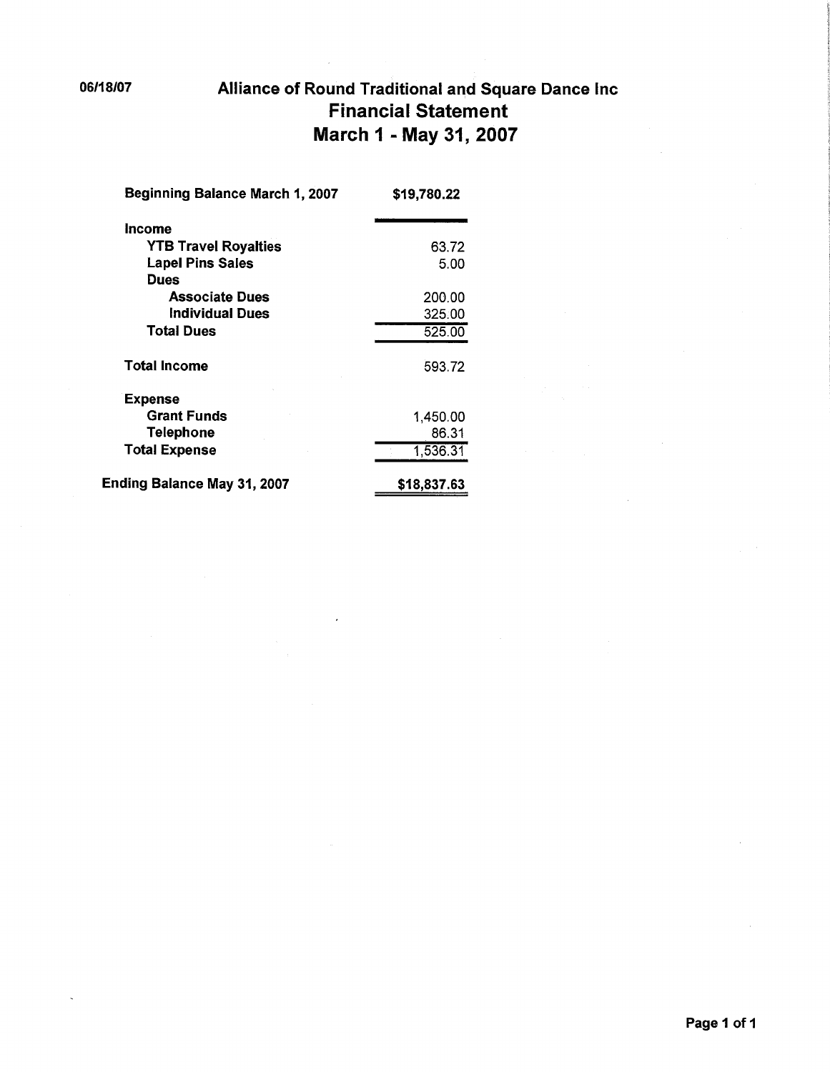# Alliance of Round Traditional and Square Dance Inc **Financial Statement** March 1 - May 31, 2007

| Beginning Balance March 1, 2007    | \$19,780.22 |
|------------------------------------|-------------|
| Income                             |             |
| <b>YTB Travel Royalties</b>        | 63.72       |
| <b>Lapel Pins Sales</b>            | 5.00        |
| Dues                               |             |
| <b>Associate Dues</b>              | 200.00      |
| Individual Dues                    | 325.00      |
| <b>Total Dues</b>                  | 525.00      |
| Total Income                       | 593.72      |
| <b>Expense</b>                     |             |
| <b>Grant Funds</b>                 | 1,450.00    |
| <b>Telephone</b>                   | 86.31       |
| <b>Total Expense</b>               | 1,536.31    |
| <b>Ending Balance May 31, 2007</b> | \$18,837.63 |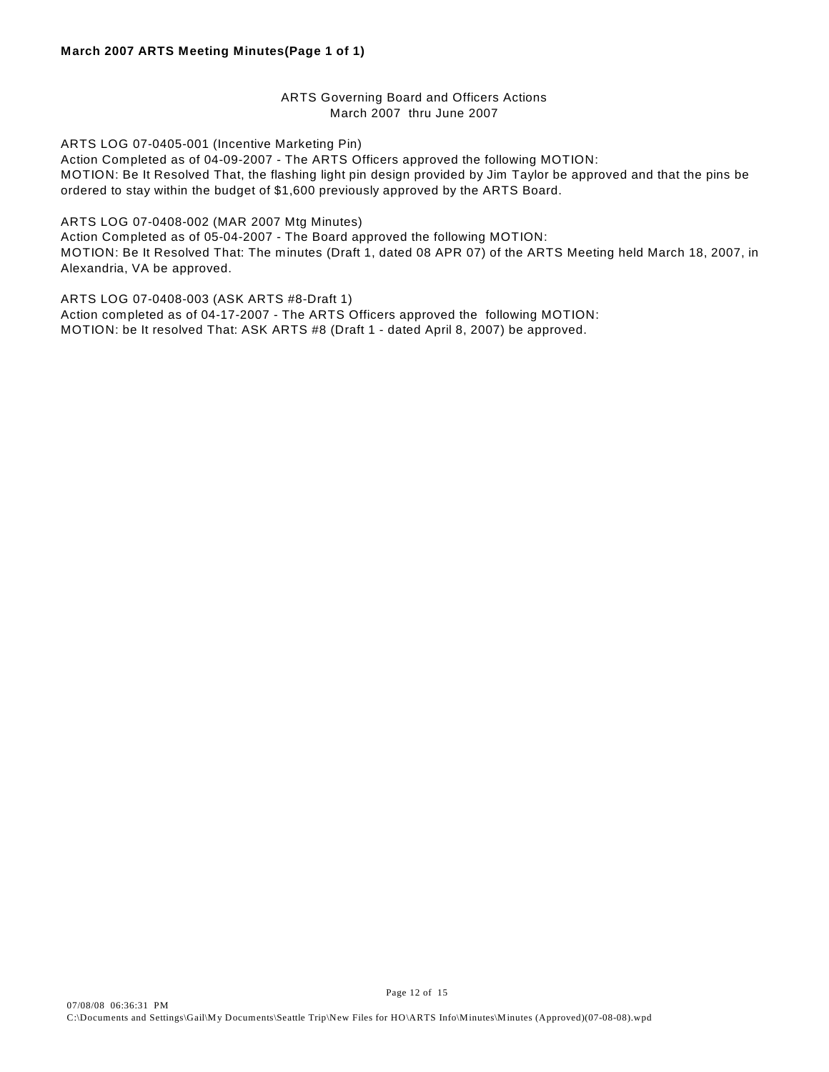# ARTS Governing Board and Officers Actions March 2007 thru June 2007

ARTS LOG 07-0405-001 (Incentive Marketing Pin)

Action Completed as of 04-09-2007 - The ARTS Officers approved the following MOTION: MOTION: Be It Resolved That, the flashing light pin design provided by Jim Taylor be approved and that the pins be ordered to stay within the budget of \$1,600 previously approved by the ARTS Board.

ARTS LOG 07-0408-002 (MAR 2007 Mtg Minutes) Action Completed as of 05-04-2007 - The Board approved the following MOTION: MOTION: Be It Resolved That: The minutes (Draft 1, dated 08 APR 07) of the ARTS Meeting held March 18, 2007, in Alexandria, VA be approved.

ARTS LOG 07-0408-003 (ASK ARTS #8-Draft 1) Action completed as of 04-17-2007 - The ARTS Officers approved the following MOTION: MOTION: be It resolved That: ASK ARTS #8 (Draft 1 - dated April 8, 2007) be approved.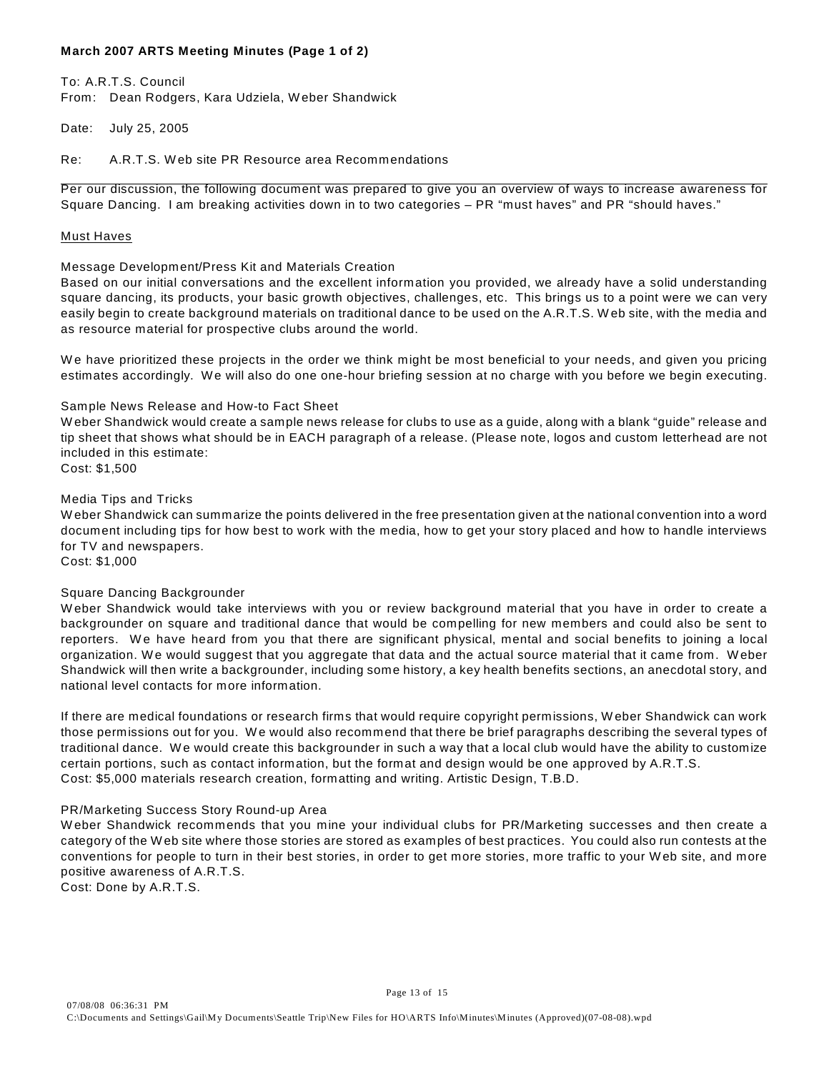## **March 2007 ARTS Meeting Minutes (Page 1 of 2)**

To: A.R.T.S. Council From: Dean Rodgers, Kara Udziela, W eber Shandwick

Date: July 25, 2005

Re: A.R.T.S. W eb site PR Resource area Recommendations

Per our discussion, the following document was prepared to give you an overview of ways to increase awareness for Square Dancing. I am breaking activities down in to two categories – PR "must haves" and PR "should haves."

#### Must Haves

## Message Development/Press Kit and Materials Creation

Based on our initial conversations and the excellent information you provided, we already have a solid understanding square dancing, its products, your basic growth objectives, challenges, etc. This brings us to a point were we can very easily begin to create background materials on traditional dance to be used on the A.R.T.S. W eb site, with the media and as resource material for prospective clubs around the world.

W e have prioritized these projects in the order we think might be most beneficial to your needs, and given you pricing estimates accordingly. We will also do one one-hour briefing session at no charge with you before we begin executing.

## Sample News Release and How-to Fact Sheet

W eber Shandwick would create a sample news release for clubs to use as a guide, along with a blank "guide" release and tip sheet that shows what should be in EACH paragraph of a release. (Please note, logos and custom letterhead are not included in this estimate: Cost: \$1,500

Media Tips and Tricks

W eber Shandwick can summarize the points delivered in the free presentation given at the national convention into a word document including tips for how best to work with the media, how to get your story placed and how to handle interviews for TV and newspapers.

Cost: \$1,000

## Square Dancing Backgrounder

W eber Shandwick would take interviews with you or review background material that you have in order to create a backgrounder on square and traditional dance that would be compelling for new members and could also be sent to reporters. W e have heard from you that there are significant physical, mental and social benefits to joining a local organization. W e would suggest that you aggregate that data and the actual source material that it came from. W eber Shandwick will then write a backgrounder, including some history, a key health benefits sections, an anecdotal story, and national level contacts for more information.

If there are medical foundations or research firms that would require copyright permissions, W eber Shandwick can work those permissions out for you. W e would also recommend that there be brief paragraphs describing the several types of traditional dance. W e would create this backgrounder in such a way that a local club would have the ability to customize certain portions, such as contact information, but the format and design would be one approved by A.R.T.S. Cost: \$5,000 materials research creation, formatting and writing. Artistic Design, T.B.D.

## PR/Marketing Success Story Round-up Area

W eber Shandwick recommends that you mine your individual clubs for PR/Marketing successes and then create a category of the W eb site where those stories are stored as examples of best practices. You could also run contests at the conventions for people to turn in their best stories, in order to get more stories, more traffic to your W eb site, and more positive awareness of A.R.T.S.

Cost: Done by A.R.T.S.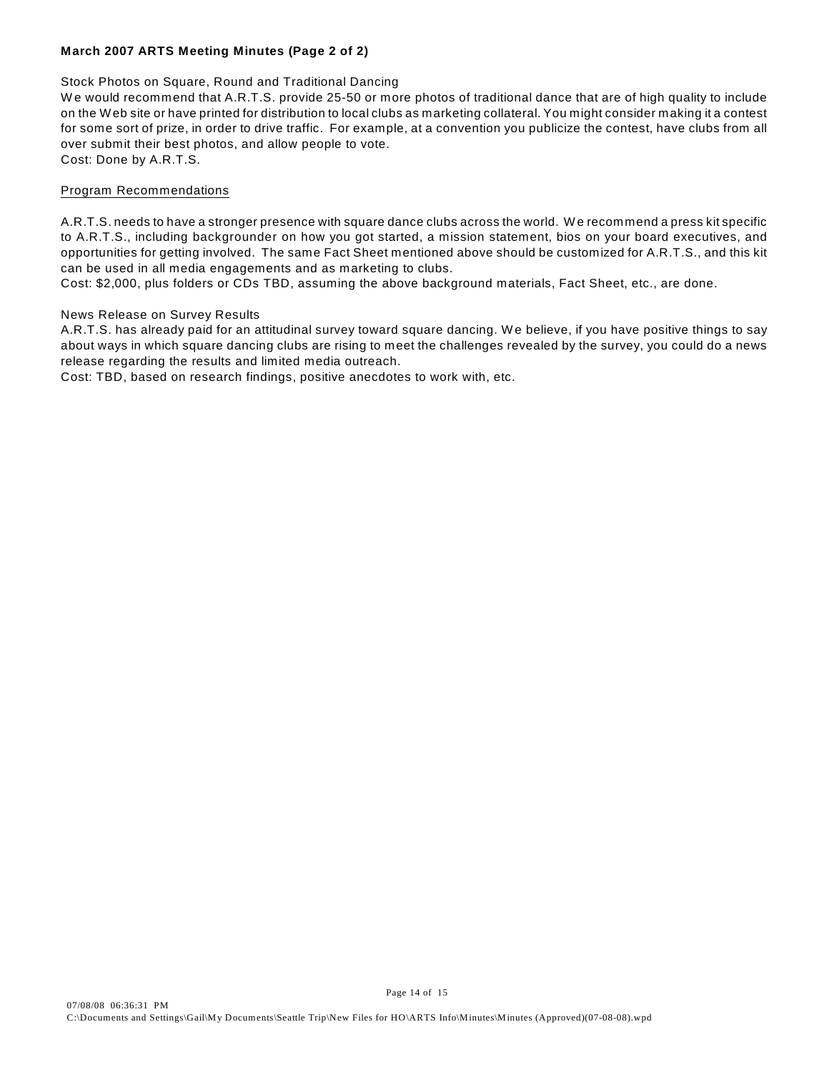# **March 2007 ARTS Meeting Minutes (Page 2 of 2)**

## Stock Photos on Square, Round and Traditional Dancing

We would recommend that A.R.T.S. provide 25-50 or more photos of traditional dance that are of high quality to include on the W eb site or have printed for distribution to local clubs as marketing collateral. You might consider making it a contest for some sort of prize, in order to drive traffic. For example, at a convention you publicize the contest, have clubs from all over submit their best photos, and allow people to vote. Cost: Done by A.R.T.S.

## Program Recommendations

A.R.T.S. needs to have a stronger presence with square dance clubs across the world. W e recommend a press kit specific to A.R.T.S., including backgrounder on how you got started, a mission statement, bios on your board executives, and opportunities for getting involved. The same Fact Sheet mentioned above should be customized for A.R.T.S., and this kit can be used in all media engagements and as marketing to clubs.

Cost: \$2,000, plus folders or CDs TBD, assuming the above background materials, Fact Sheet, etc., are done.

## News Release on Survey Results

A.R.T.S. has already paid for an attitudinal survey toward square dancing. W e believe, if you have positive things to say about ways in which square dancing clubs are rising to meet the challenges revealed by the survey, you could do a news release regarding the results and limited media outreach.

Cost: TBD, based on research findings, positive anecdotes to work with, etc.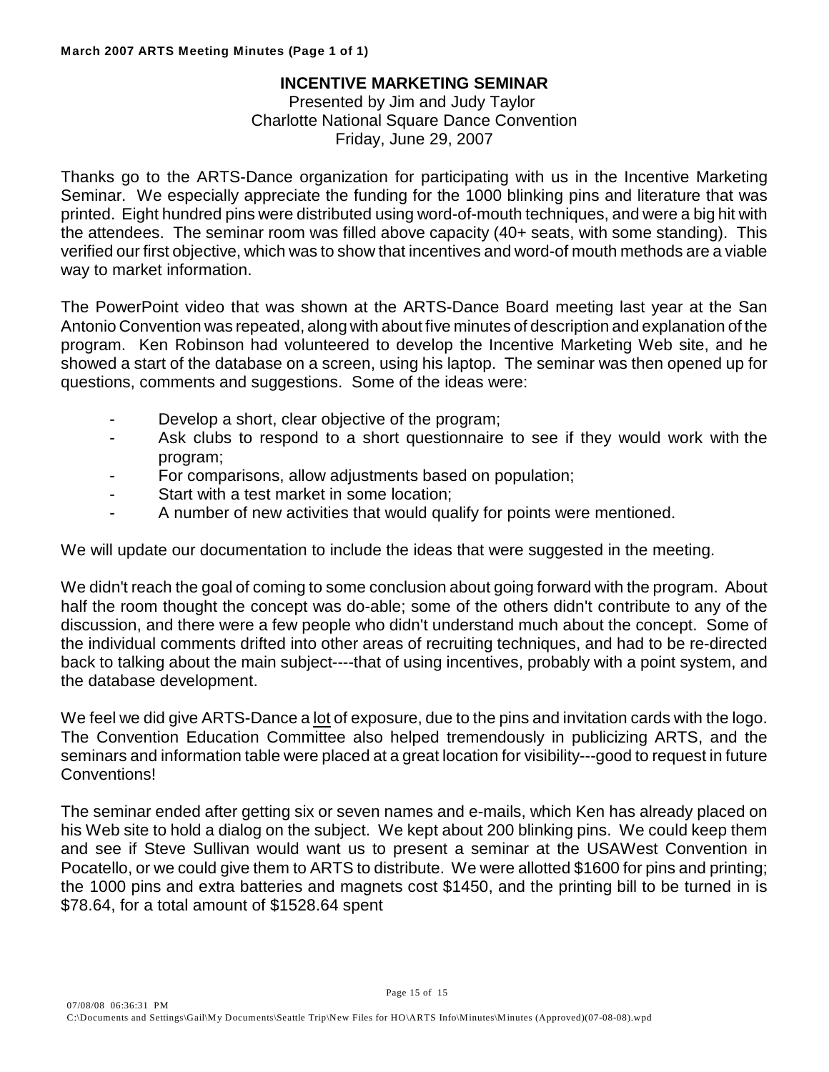# **INCENTIVE MARKETING SEMINAR**

Presented by Jim and Judy Taylor Charlotte National Square Dance Convention Friday, June 29, 2007

Thanks go to the ARTS-Dance organization for participating with us in the Incentive Marketing Seminar. We especially appreciate the funding for the 1000 blinking pins and literature that was printed. Eight hundred pins were distributed using word-of-mouth techniques, and were a big hit with the attendees. The seminar room was filled above capacity (40+ seats, with some standing). This verified our first objective, which was to show that incentives and word-of mouth methods are a viable way to market information.

The PowerPoint video that was shown at the ARTS-Dance Board meeting last year at the San Antonio Convention was repeated, along with about five minutes of description and explanation of the program. Ken Robinson had volunteered to develop the Incentive Marketing Web site, and he showed a start of the database on a screen, using his laptop. The seminar was then opened up for questions, comments and suggestions. Some of the ideas were:

- Develop a short, clear objective of the program;
- Ask clubs to respond to a short questionnaire to see if they would work with the program;
- For comparisons, allow adjustments based on population;
- Start with a test market in some location;
- A number of new activities that would qualify for points were mentioned.

We will update our documentation to include the ideas that were suggested in the meeting.

We didn't reach the goal of coming to some conclusion about going forward with the program. About half the room thought the concept was do-able; some of the others didn't contribute to any of the discussion, and there were a few people who didn't understand much about the concept. Some of the individual comments drifted into other areas of recruiting techniques, and had to be re-directed back to talking about the main subject----that of using incentives, probably with a point system, and the database development.

We feel we did give ARTS-Dance a lot of exposure, due to the pins and invitation cards with the logo. The Convention Education Committee also helped tremendously in publicizing ARTS, and the seminars and information table were placed at a great location for visibility---good to request in future Conventions!

The seminar ended after getting six or seven names and e-mails, which Ken has already placed on his Web site to hold a dialog on the subject. We kept about 200 blinking pins. We could keep them and see if Steve Sullivan would want us to present a seminar at the USAWest Convention in Pocatello, or we could give them to ARTS to distribute. We were allotted \$1600 for pins and printing; the 1000 pins and extra batteries and magnets cost \$1450, and the printing bill to be turned in is \$78.64, for a total amount of \$1528.64 spent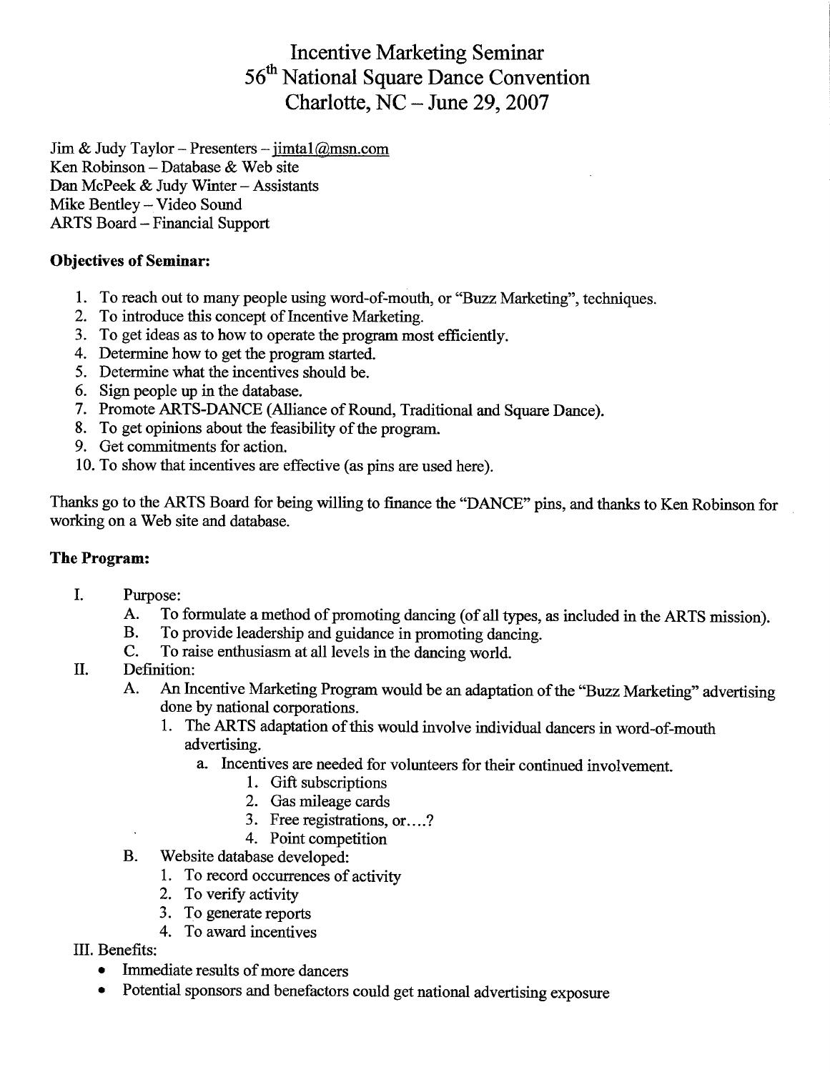**Incentive Marketing Seminar** 56<sup>th</sup> National Square Dance Convention Charlotte,  $NC$  – June 29, 2007

Jim & Judy Taylor - Presenters - jimta $1/\partial \text{msn.com}$ Ken Robinson - Database & Web site Dan McPeek & Judy Winter - Assistants Mike Bentley - Video Sound **ARTS Board - Financial Support** 

# **Objectives of Seminar:**

- 1. To reach out to many people using word-of-mouth, or "Buzz Marketing", techniques.
- 2. To introduce this concept of Incentive Marketing.
- 3. To get ideas as to how to operate the program most efficiently.
- 4. Determine how to get the program started.
- 5. Determine what the incentives should be.
- 6. Sign people up in the database.
- 7. Promote ARTS-DANCE (Alliance of Round, Traditional and Square Dance).
- 8. To get opinions about the feasibility of the program.
- 9. Get commitments for action.
- 10. To show that incentives are effective (as pins are used here).

Thanks go to the ARTS Board for being willing to finance the "DANCE" pins, and thanks to Ken Robinson for working on a Web site and database.

# The Program:

- $\mathbf{L}$ Purpose:
	- To formulate a method of promoting dancing (of all types, as included in the ARTS mission).  $A_{\cdot}$
	- **B.** To provide leadership and guidance in promoting dancing.
	- $C_{\cdot}$ To raise enthusiasm at all levels in the dancing world.
- $\Pi$ . Definition:
	- An Incentive Marketing Program would be an adaptation of the "Buzz Marketing" advertising A. done by national corporations.
		- 1. The ARTS adaptation of this would involve individual dancers in word-of-mouth advertising.
			- a. Incentives are needed for volunteers for their continued involvement.
				- 1. Gift subscriptions
				- 2. Gas mileage cards
				- 3. Free registrations, or....?
				- 4. Point competition
	- **B.** Website database developed:
		- 1. To record occurrences of activity
		- 2. To verify activity
		- 3. To generate reports
		- 4. To award incentives
- III. Benefits:
	- Immediate results of more dancers  $\bullet$
	- Potential sponsors and benefactors could get national advertising exposure